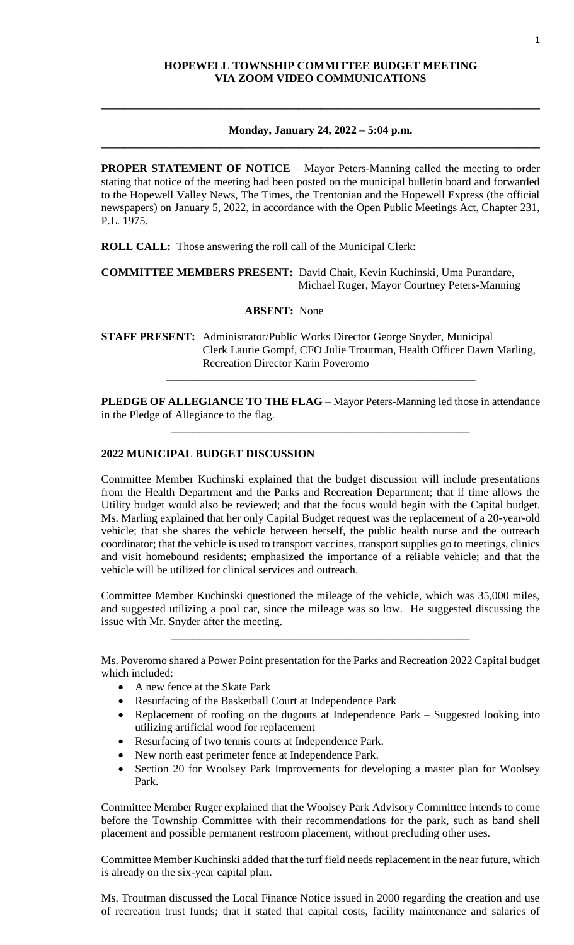## **HOPEWELL TOWNSHIP COMMITTEE BUDGET MEETING VIA ZOOM VIDEO COMMUNICATIONS**

#### **Monday, January 24, 2022 – 5:04 p.m. \_\_\_\_\_\_\_\_\_\_\_\_\_\_\_\_\_\_\_\_\_\_\_\_\_\_\_\_\_\_\_\_\_\_\_\_\_\_\_\_\_\_\_\_\_\_\_\_\_\_\_\_\_\_\_\_\_\_\_\_\_\_\_\_\_\_\_\_\_\_\_\_\_\_\_\_\_\_**

**\_\_\_\_\_\_\_\_\_\_\_\_\_\_\_\_\_\_\_\_\_\_\_\_\_\_\_\_\_\_\_\_\_\_\_\_\_\_\_\_\_\_\_\_\_\_\_\_\_\_\_\_\_\_\_\_\_\_\_\_\_\_\_\_\_\_\_\_\_\_\_\_\_\_\_\_\_\_**

**PROPER STATEMENT OF NOTICE** – Mayor Peters-Manning called the meeting to order stating that notice of the meeting had been posted on the municipal bulletin board and forwarded to the Hopewell Valley News, The Times, the Trentonian and the Hopewell Express (the official newspapers) on January 5, 2022, in accordance with the Open Public Meetings Act, Chapter 231, P.L. 1975.

**ROLL CALL:** Those answering the roll call of the Municipal Clerk:

**COMMITTEE MEMBERS PRESENT:** David Chait, Kevin Kuchinski, Uma Purandare, Michael Ruger, Mayor Courtney Peters-Manning

**ABSENT:** None

**STAFF PRESENT:** Administrator/Public Works Director George Snyder, Municipal Clerk Laurie Gompf, CFO Julie Troutman, Health Officer Dawn Marling, Recreation Director Karin Poveromo

**PLEDGE OF ALLEGIANCE TO THE FLAG** – Mayor Peters-Manning led those in attendance in the Pledge of Allegiance to the flag.

\_\_\_\_\_\_\_\_\_\_\_\_\_\_\_\_\_\_\_\_\_\_\_\_\_\_\_\_\_\_\_\_\_\_\_\_\_\_\_\_\_\_\_\_\_\_\_\_\_\_\_\_\_

\_\_\_\_\_\_\_\_\_\_\_\_\_\_\_\_\_\_\_\_\_\_\_\_\_\_\_\_\_\_\_\_\_\_\_\_\_\_\_\_\_\_\_\_\_\_\_\_\_\_\_\_\_\_\_

### **2022 MUNICIPAL BUDGET DISCUSSION**

Committee Member Kuchinski explained that the budget discussion will include presentations from the Health Department and the Parks and Recreation Department; that if time allows the Utility budget would also be reviewed; and that the focus would begin with the Capital budget. Ms. Marling explained that her only Capital Budget request was the replacement of a 20-year-old vehicle; that she shares the vehicle between herself, the public health nurse and the outreach coordinator; that the vehicle is used to transport vaccines, transport supplies go to meetings, clinics and visit homebound residents; emphasized the importance of a reliable vehicle; and that the vehicle will be utilized for clinical services and outreach.

Committee Member Kuchinski questioned the mileage of the vehicle, which was 35,000 miles, and suggested utilizing a pool car, since the mileage was so low. He suggested discussing the issue with Mr. Snyder after the meeting.

\_\_\_\_\_\_\_\_\_\_\_\_\_\_\_\_\_\_\_\_\_\_\_\_\_\_\_\_\_\_\_\_\_\_\_\_\_\_\_\_\_\_\_\_\_\_\_\_\_\_\_\_\_

Ms. Poveromo shared a Power Point presentation for the Parks and Recreation 2022 Capital budget which included:

- A new fence at the Skate Park
- Resurfacing of the Basketball Court at Independence Park
- Replacement of roofing on the dugouts at Independence Park Suggested looking into utilizing artificial wood for replacement
- Resurfacing of two tennis courts at Independence Park.
- New north east perimeter fence at Independence Park.
- Section 20 for Woolsey Park Improvements for developing a master plan for Woolsey Park.

Committee Member Ruger explained that the Woolsey Park Advisory Committee intends to come before the Township Committee with their recommendations for the park, such as band shell placement and possible permanent restroom placement, without precluding other uses.

Committee Member Kuchinski added that the turf field needs replacement in the near future, which is already on the six-year capital plan.

Ms. Troutman discussed the Local Finance Notice issued in 2000 regarding the creation and use of recreation trust funds; that it stated that capital costs, facility maintenance and salaries of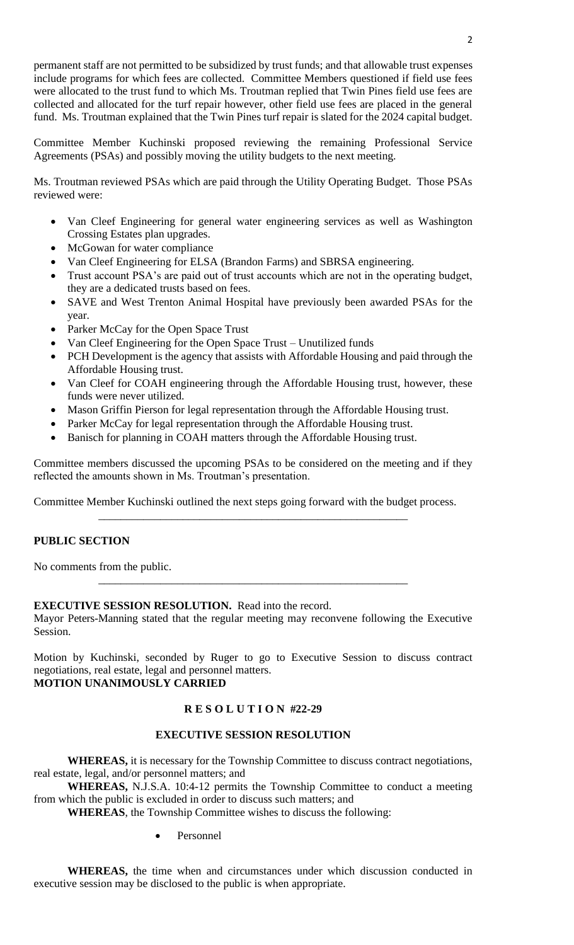permanent staff are not permitted to be subsidized by trust funds; and that allowable trust expenses include programs for which fees are collected. Committee Members questioned if field use fees were allocated to the trust fund to which Ms. Troutman replied that Twin Pines field use fees are collected and allocated for the turf repair however, other field use fees are placed in the general fund. Ms. Troutman explained that the Twin Pines turf repair is slated for the 2024 capital budget.

Committee Member Kuchinski proposed reviewing the remaining Professional Service Agreements (PSAs) and possibly moving the utility budgets to the next meeting.

Ms. Troutman reviewed PSAs which are paid through the Utility Operating Budget. Those PSAs reviewed were:

- Van Cleef Engineering for general water engineering services as well as Washington Crossing Estates plan upgrades.
- McGowan for water compliance
- Van Cleef Engineering for ELSA (Brandon Farms) and SBRSA engineering.
- Trust account PSA's are paid out of trust accounts which are not in the operating budget, they are a dedicated trusts based on fees.
- SAVE and West Trenton Animal Hospital have previously been awarded PSAs for the year.
- Parker McCay for the Open Space Trust
- Van Cleef Engineering for the Open Space Trust Unutilized funds
- PCH Development is the agency that assists with Affordable Housing and paid through the Affordable Housing trust.
- Van Cleef for COAH engineering through the Affordable Housing trust, however, these funds were never utilized.
- Mason Griffin Pierson for legal representation through the Affordable Housing trust.
- Parker McCay for legal representation through the Affordable Housing trust.
- Banisch for planning in COAH matters through the Affordable Housing trust.

Committee members discussed the upcoming PSAs to be considered on the meeting and if they reflected the amounts shown in Ms. Troutman's presentation.

\_\_\_\_\_\_\_\_\_\_\_\_\_\_\_\_\_\_\_\_\_\_\_\_\_\_\_\_\_\_\_\_\_\_\_\_\_\_\_\_\_\_\_\_\_\_\_\_\_\_\_\_\_\_\_

Committee Member Kuchinski outlined the next steps going forward with the budget process.

# **PUBLIC SECTION**

No comments from the public.

## **EXECUTIVE SESSION RESOLUTION.** Read into the record.

Mayor Peters-Manning stated that the regular meeting may reconvene following the Executive Session.

\_\_\_\_\_\_\_\_\_\_\_\_\_\_\_\_\_\_\_\_\_\_\_\_\_\_\_\_\_\_\_\_\_\_\_\_\_\_\_\_\_\_\_\_\_\_\_\_\_\_\_\_\_\_\_

Motion by Kuchinski, seconded by Ruger to go to Executive Session to discuss contract negotiations, real estate, legal and personnel matters. **MOTION UNANIMOUSLY CARRIED**

## **R E S O L U T I O N #22-29**

## **EXECUTIVE SESSION RESOLUTION**

**WHEREAS,** it is necessary for the Township Committee to discuss contract negotiations, real estate, legal, and/or personnel matters; and

**WHEREAS,** N.J.S.A. 10:4-12 permits the Township Committee to conduct a meeting from which the public is excluded in order to discuss such matters; and

**WHEREAS**, the Township Committee wishes to discuss the following:

Personnel

**WHEREAS,** the time when and circumstances under which discussion conducted in executive session may be disclosed to the public is when appropriate.